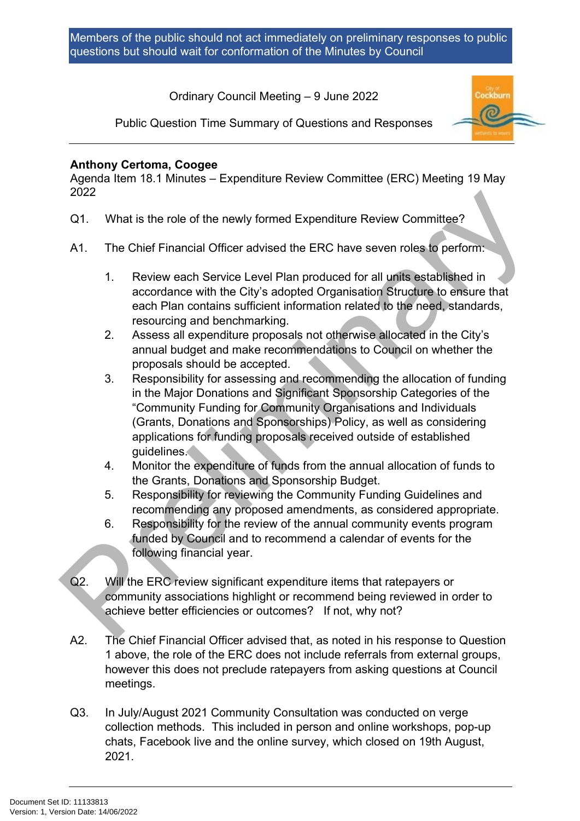Ordinary Council Meeting – 9 June 2022



Public Question Time Summary of Questions and Responses

# **Anthony Certoma, Coogee**

Agenda Item 18.1 Minutes – Expenditure Review Committee (ERC) Meeting 19 May 2022

- Q1. What is the role of the newly formed Expenditure Review Committee?
- A1. The Chief Financial Officer advised the ERC have seven roles to perform:
	- 1. Review each Service Level Plan produced for all units established in accordance with the City's adopted Organisation Structure to ensure that each Plan contains sufficient information related to the need, standards, resourcing and benchmarking.
	- 2. Assess all expenditure proposals not otherwise allocated in the City's annual budget and make recommendations to Council on whether the proposals should be accepted.
- 3. Responsibility for assessing and recommending the allocation of funding in the Major Donations and Significant Sponsorship Categories of the "Community Funding for Community Organisations and Individuals (Grants, Donations and Sponsorships) Policy, as well as considering applications for funding proposals received outside of established guidelines. 2022<br>
2022<br>
2022<br>
2012<br>
2012<br>
2012<br>
2013<br>
2014<br>
2014<br>
2014<br>
2016 Chineral Officer advised the ERC have seven roles to perform:<br>
1. Review each Service Level Plan produced for all units established in<br>
accordance with the C
	- 4. Monitor the expenditure of funds from the annual allocation of funds to the Grants, Donations and Sponsorship Budget.
	- 5. Responsibility for reviewing the Community Funding Guidelines and recommending any proposed amendments, as considered appropriate.
	- 6. Responsibility for the review of the annual community events program funded by Council and to recommend a calendar of events for the following financial year.
	- Q2. Will the ERC review significant expenditure items that ratepayers or community associations highlight or recommend being reviewed in order to achieve better efficiencies or outcomes? If not, why not?
	- A2. The Chief Financial Officer advised that, as noted in his response to Question 1 above, the role of the ERC does not include referrals from external groups, however this does not preclude ratepayers from asking questions at Council meetings.
	- Q3. In July/August 2021 Community Consultation was conducted on verge collection methods. This included in person and online workshops, pop-up chats, Facebook live and the online survey, which closed on 19th August, 2021.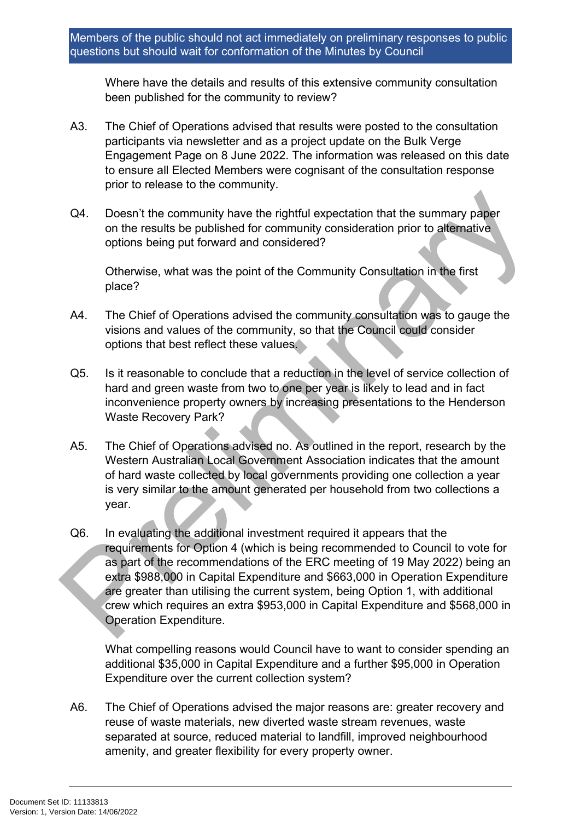Where have the details and results of this extensive community consultation been published for the community to review?

- A3. The Chief of Operations advised that results were posted to the consultation participants via newsletter and as a project update on the Bulk Verge Engagement Page on 8 June 2022. The information was released on this date to ensure all Elected Members were cognisant of the consultation response prior to release to the community.
- Q4. Doesn't the community have the rightful expectation that the summary paper on the results be published for community consideration prior to alternative options being put forward and considered?

Otherwise, what was the point of the Community Consultation in the first place?

- A4. The Chief of Operations advised the community consultation was to gauge the visions and values of the community, so that the Council could consider options that best reflect these values.
- Q5. Is it reasonable to conclude that a reduction in the level of service collection of hard and green waste from two to one per year is likely to lead and in fact inconvenience property owners by increasing presentations to the Henderson Waste Recovery Park?
- A5. The Chief of Operations advised no. As outlined in the report, research by the Western Australian Local Government Association indicates that the amount of hard waste collected by local governments providing one collection a year is very similar to the amount generated per household from two collections a year.
- Q6. In evaluating the additional investment required it appears that the requirements for Option 4 (which is being recommended to Council to vote for as part of the recommendations of the ERC meeting of 19 May 2022) being an extra \$988,000 in Capital Expenditure and \$663,000 in Operation Expenditure are greater than utilising the current system, being Option 1, with additional crew which requires an extra \$953,000 in Capital Expenditure and \$568,000 in Operation Expenditure. CONTINET THE COMMON THE SURFAINT CONDUCTED THE SURFAINT CONDUCT THE SURFAINT CONDUCT THE CONDUCTED CONDUCTED AND CONDUCTED THE CHIRAL SURFAINT CONDUCTED THE CHIRAL THE CHIRAL THE CHIRAL THE CHIRAL THE CHIRAL THE CHIRAL THE

What compelling reasons would Council have to want to consider spending an additional \$35,000 in Capital Expenditure and a further \$95,000 in Operation Expenditure over the current collection system?

A6. The Chief of Operations advised the major reasons are: greater recovery and reuse of waste materials, new diverted waste stream revenues, waste separated at source, reduced material to landfill, improved neighbourhood amenity, and greater flexibility for every property owner.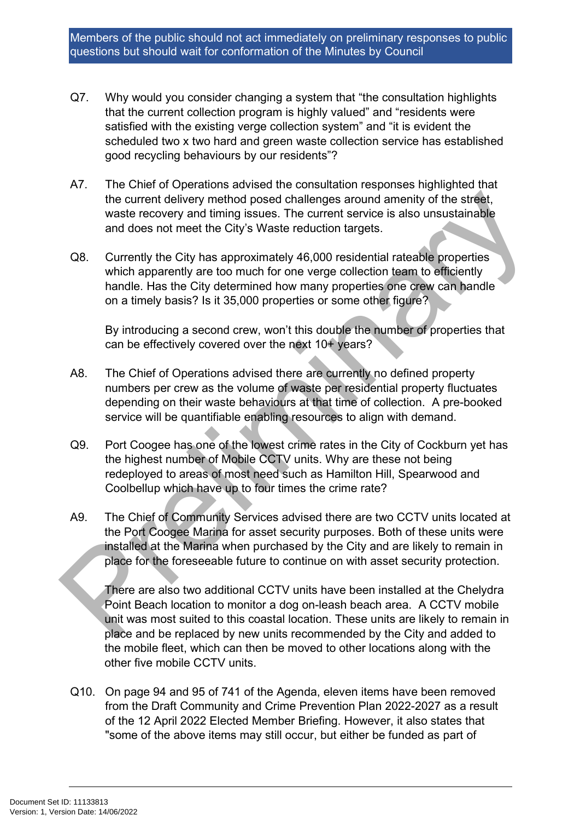- Q7. Why would you consider changing a system that "the consultation highlights that the current collection program is highly valued" and "residents were satisfied with the existing verge collection system" and "it is evident the scheduled two x two hard and green waste collection service has established good recycling behaviours by our residents"?
- A7. The Chief of Operations advised the consultation responses highlighted that the current delivery method posed challenges around amenity of the street, waste recovery and timing issues. The current service is also unsustainable and does not meet the City's Waste reduction targets.
- Q8. Currently the City has approximately 46,000 residential rateable properties which apparently are too much for one verge collection team to efficiently handle. Has the City determined how many properties one crew can handle on a timely basis? Is it 35,000 properties or some other figure?

By introducing a second crew, won't this double the number of properties that can be effectively covered over the next 10+ years?

- A8. The Chief of Operations advised there are currently no defined property numbers per crew as the volume of waste per residential property fluctuates depending on their waste behaviours at that time of collection. A pre-booked service will be quantifiable enabling resources to align with demand.
- Q9. Port Coogee has one of the lowest crime rates in the City of Cockburn yet has the highest number of Mobile CCTV units. Why are these not being redeployed to areas of most need such as Hamilton Hill, Spearwood and Coolbellup which have up to four times the crime rate?
- A9. The Chief of Community Services advised there are two CCTV units located at the Port Coogee Marina for asset security purposes. Both of these units were installed at the Marina when purchased by the City and are likely to remain in place for the foreseeable future to continue on with asset security protection. the current delivery method posed challenges around amenity of the street,<br>waste recovery and timing issues. The current service is also unsustainable<br>and does not meet the City's Waste reduction targets.<br>
26. Currently th

There are also two additional CCTV units have been installed at the Chelydra Point Beach location to monitor a dog on-leash beach area. A CCTV mobile unit was most suited to this coastal location. These units are likely to remain in place and be replaced by new units recommended by the City and added to the mobile fleet, which can then be moved to other locations along with the other five mobile CCTV units.

Q10. On page 94 and 95 of 741 of the Agenda, eleven items have been removed from the Draft Community and Crime Prevention Plan 2022-2027 as a result of the 12 April 2022 Elected Member Briefing. However, it also states that "some of the above items may still occur, but either be funded as part of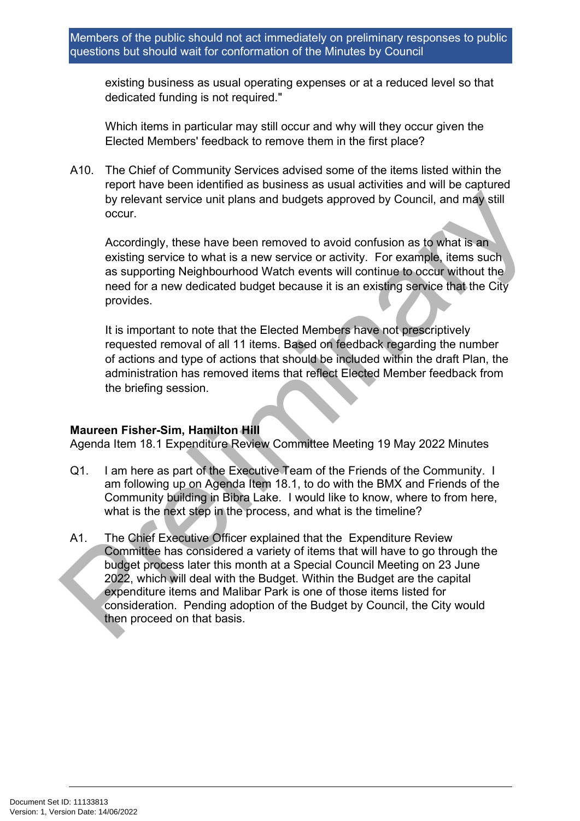existing business as usual operating expenses or at a reduced level so that dedicated funding is not required."

Which items in particular may still occur and why will they occur given the Elected Members' feedback to remove them in the first place?

A10. The Chief of Community Services advised some of the items listed within the report have been identified as business as usual activities and will be captured by relevant service unit plans and budgets approved by Council, and may still occur.

Accordingly, these have been removed to avoid confusion as to what is an existing service to what is a new service or activity. For example, items such as supporting Neighbourhood Watch events will continue to occur without the need for a new dedicated budget because it is an existing service that the City provides.

It is important to note that the Elected Members have not prescriptively requested removal of all 11 items. Based on feedback regarding the number of actions and type of actions that should be included within the draft Plan, the administration has removed items that reflect Elected Member feedback from the briefing session.

## **Maureen Fisher-Sim, Hamilton Hill**

Agenda Item 18.1 Expenditure Review Committee Meeting 19 May 2022 Minutes

- Q1. I am here as part of the Executive Team of the Friends of the Community. I am following up on Agenda Item 18.1, to do with the BMX and Friends of the Community building in Bibra Lake. I would like to know, where to from here, what is the next step in the process, and what is the timeline?
- A1. The Chief Executive Officer explained that the Expenditure Review Committee has considered a variety of items that will have to go through the budget process later this month at a Special Council Meeting on 23 June 2022, which will deal with the Budget. Within the Budget are the capital expenditure items and Malibar Park is one of those items listed for consideration. Pending adoption of the Budget by Council, the City would then proceed on that basis. by relevant service unit plans and budgets approved by Council, and may still<br>occur.<br>Accordingly, these have been removed to avoid confusion as to what is an<br>existing service to what is a new service or activity. For examp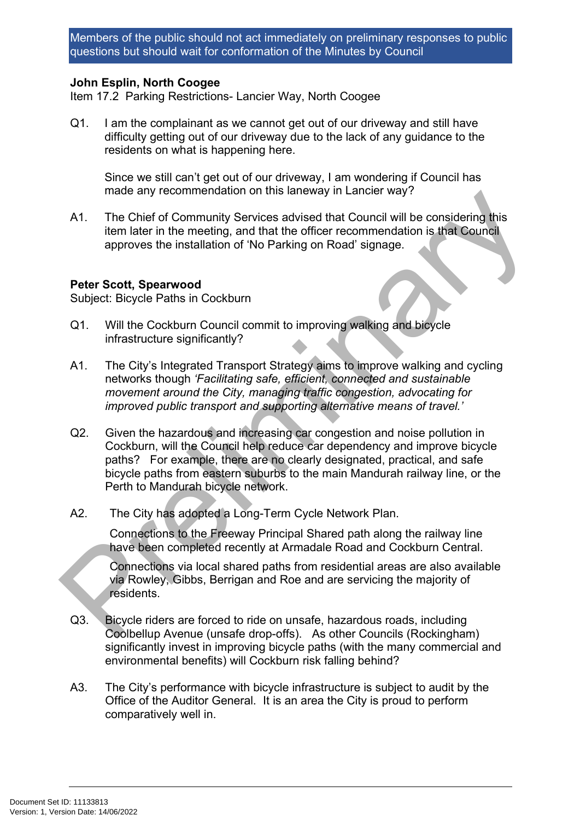## **John Esplin, North Coogee**

Item 17.2 Parking Restrictions- Lancier Way, North Coogee

Q1. I am the complainant as we cannot get out of our driveway and still have difficulty getting out of our driveway due to the lack of any guidance to the residents on what is happening here.

Since we still can't get out of our driveway, I am wondering if Council has made any recommendation on this laneway in Lancier way?

A1. The Chief of Community Services advised that Council will be considering this item later in the meeting, and that the officer recommendation is that Council approves the installation of 'No Parking on Road' signage.

#### **Peter Scott, Spearwood**

Subject: Bicycle Paths in Cockburn

- Q1. Will the Cockburn Council commit to improving walking and bicycle infrastructure significantly?
- A1. The City's Integrated Transport Strategy aims to improve walking and cycling networks though *'Facilitating safe, efficient, connected and sustainable movement around the City, managing traffic congestion, advocating for improved public transport and supporting alternative means of travel.'*
- Q2. Given the hazardous and increasing car congestion and noise pollution in Cockburn, will the Council help reduce car dependency and improve bicycle paths? For example, there are no clearly designated, practical, and safe bicycle paths from eastern suburbs to the main Mandurah railway line, or the Perth to Mandurah bicycle network. made any recommendation on this laneway in Lancier way?<br>
A1. The Chief of Community Services advised that Council will be considering this<br>
tiem later in the meeting, and that the officer recommendation is that Council<br>
ap
	- A2. The City has adopted a Long-Term Cycle Network Plan.

Connections to the Freeway Principal Shared path along the railway line have been completed recently at Armadale Road and Cockburn Central.

Connections via local shared paths from residential areas are also available via Rowley, Gibbs, Berrigan and Roe and are servicing the majority of residents.

- Q3. Bicycle riders are forced to ride on unsafe, hazardous roads, including Coolbellup Avenue (unsafe drop-offs). As other Councils (Rockingham) significantly invest in improving bicycle paths (with the many commercial and environmental benefits) will Cockburn risk falling behind?
- A3. The City's performance with bicycle infrastructure is subject to audit by the Office of the Auditor General. It is an area the City is proud to perform comparatively well in.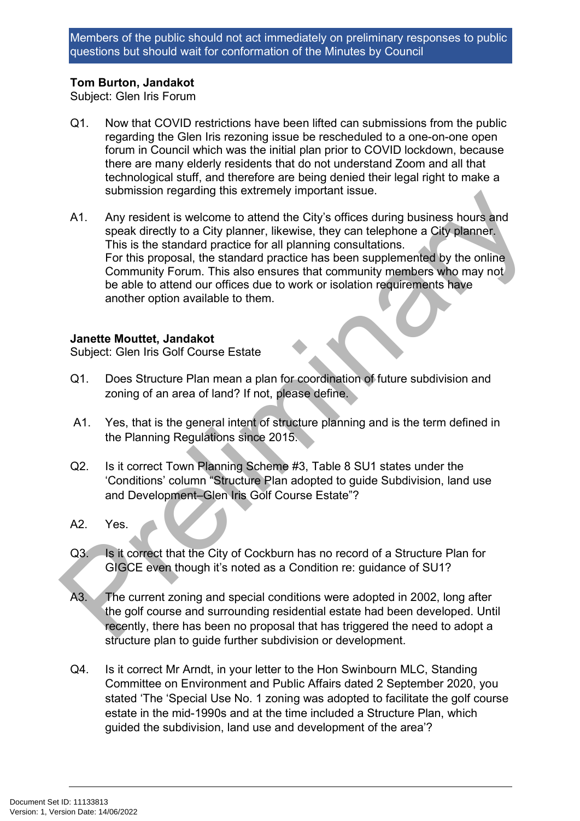# **Tom Burton, Jandakot**

Subject: Glen Iris Forum

- Q1. Now that COVID restrictions have been lifted can submissions from the public regarding the Glen Iris rezoning issue be rescheduled to a one-on-one open forum in Council which was the initial plan prior to COVID lockdown, because there are many elderly residents that do not understand Zoom and all that technological stuff, and therefore are being denied their legal right to make a submission regarding this extremely important issue.
- A1. Any resident is welcome to attend the City's offices during business hours and speak directly to a City planner, likewise, they can telephone a City planner. This is the standard practice for all planning consultations. For this proposal, the standard practice has been supplemented by the online Community Forum. This also ensures that community members who may not be able to attend our offices due to work or isolation requirements have another option available to them. submission regarding uns extremely important issue.<br>
A1. Any resident is velocome to attend the City's offices during business hours and<br>
speak directly to a City planner, likewise, they can telephone a City planner.<br>
This

## **Janette Mouttet, Jandakot**

Subject: Glen Iris Golf Course Estate

- Q1. Does Structure Plan mean a plan for coordination of future subdivision and zoning of an area of land? If not, please define.
- A1. Yes, that is the general intent of structure planning and is the term defined in the Planning Regulations since 2015.
- Q2. Is it correct Town Planning Scheme #3, Table 8 SU1 states under the 'Conditions' column "Structure Plan adopted to guide Subdivision, land use and Development–Glen Iris Golf Course Estate"?
- A2. Yes.
- Q3. Is it correct that the City of Cockburn has no record of a Structure Plan for GIGCE even though it's noted as a Condition re: guidance of SU1?
- A3. The current zoning and special conditions were adopted in 2002, long after the golf course and surrounding residential estate had been developed. Until recently, there has been no proposal that has triggered the need to adopt a structure plan to guide further subdivision or development.
- Q4. Is it correct Mr Arndt, in your letter to the Hon Swinbourn MLC, Standing Committee on Environment and Public Affairs dated 2 September 2020, you stated 'The 'Special Use No. 1 zoning was adopted to facilitate the golf course estate in the mid-1990s and at the time included a Structure Plan, which guided the subdivision, land use and development of the area'?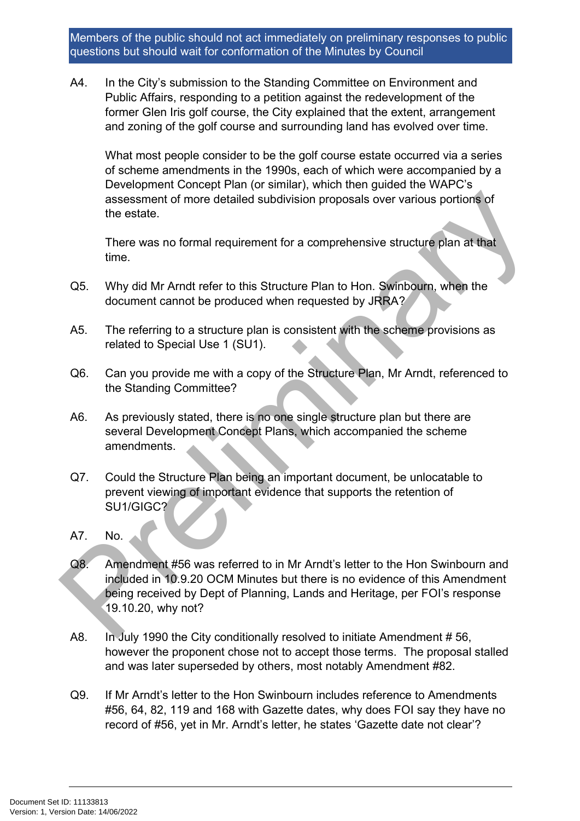A4. In the City's submission to the Standing Committee on Environment and Public Affairs, responding to a petition against the redevelopment of the former Glen Iris golf course, the City explained that the extent, arrangement and zoning of the golf course and surrounding land has evolved over time.

What most people consider to be the golf course estate occurred via a series of scheme amendments in the 1990s, each of which were accompanied by a Development Concept Plan (or similar), which then guided the WAPC's assessment of more detailed subdivision proposals over various portions of the estate.

There was no formal requirement for a comprehensive structure plan at that time.

- Q5. Why did Mr Arndt refer to this Structure Plan to Hon. Swinbourn, when the document cannot be produced when requested by JRRA?
- A5. The referring to a structure plan is consistent with the scheme provisions as related to Special Use 1 (SU1).
- Q6. Can you provide me with a copy of the Structure Plan, Mr Arndt, referenced to the Standing Committee?
- A6. As previously stated, there is no one single structure plan but there are several Development Concept Plans, which accompanied the scheme amendments.
- Q7. Could the Structure Plan being an important document, be unlocatable to prevent viewing of important evidence that supports the retention of SU1/GIGC?
- A7. No.
- Q8. Amendment #56 was referred to in Mr Arndt's letter to the Hon Swinbourn and included in 10.9.20 OCM Minutes but there is no evidence of this Amendment being received by Dept of Planning, Lands and Heritage, per FOI's response 19.10.20, why not? assessment of more detailed subdivision proposals over various portions of<br>the estate.<br>There was no formal requirement for a comprehensive structure plan at that<br>time.<br>CG5. Why did Mr Amdt refer to this Structure Plan to H
	- A8. In July 1990 the City conditionally resolved to initiate Amendment #56, however the proponent chose not to accept those terms. The proposal stalled and was later superseded by others, most notably Amendment #82.
	- Q9. If Mr Arndt's letter to the Hon Swinbourn includes reference to Amendments #56, 64, 82, 119 and 168 with Gazette dates, why does FOI say they have no record of #56, yet in Mr. Arndt's letter, he states 'Gazette date not clear'?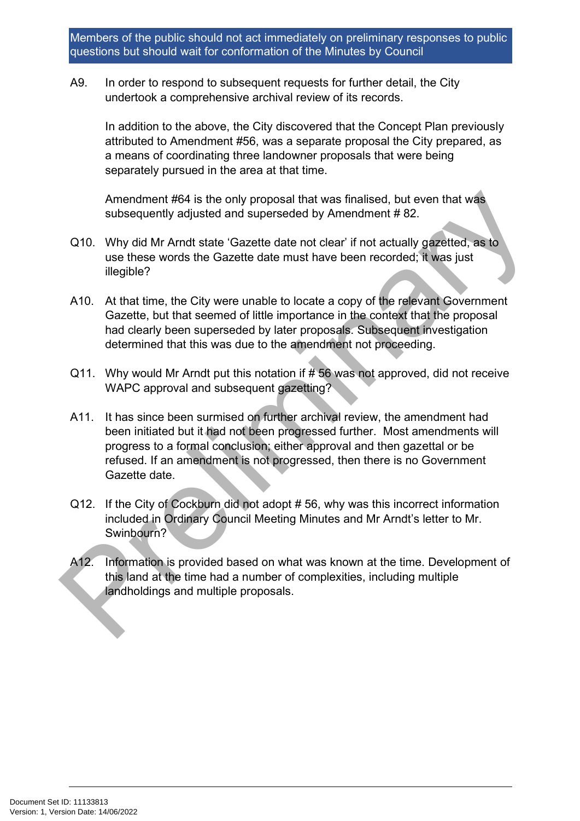A9. In order to respond to subsequent requests for further detail, the City undertook a comprehensive archival review of its records.

In addition to the above, the City discovered that the Concept Plan previously attributed to Amendment #56, was a separate proposal the City prepared, as a means of coordinating three landowner proposals that were being separately pursued in the area at that time.

Amendment #64 is the only proposal that was finalised, but even that was subsequently adjusted and superseded by Amendment # 82.

- Q10. Why did Mr Arndt state 'Gazette date not clear' if not actually gazetted, as to use these words the Gazette date must have been recorded; it was just illegible?
- A10. At that time, the City were unable to locate a copy of the relevant Government Gazette, but that seemed of little importance in the context that the proposal had clearly been superseded by later proposals. Subsequent investigation determined that this was due to the amendment not proceeding.
- Q11. Why would Mr Arndt put this notation if  $#56$  was not approved, did not receive WAPC approval and subsequent gazetting?
- A11. It has since been surmised on further archival review, the amendment had been initiated but it had not been progressed further. Most amendments will progress to a formal conclusion; either approval and then gazettal or be refused. If an amendment is not progressed, then there is no Government Gazette date. Amendment #64 is the only proposal that was finalised, but even that was<br>subsequently adjusted and superseded by Amendment # 82.<br>
2010. Why did Mr Amd state 'Gazette date not clear' if not actually gazetted, as to<br>
use th
	- Q12. If the City of Cockburn did not adopt # 56, why was this incorrect information included in Ordinary Council Meeting Minutes and Mr Arndt's letter to Mr. Swinbourn?
	- A12. Information is provided based on what was known at the time. Development of this land at the time had a number of complexities, including multiple landholdings and multiple proposals.